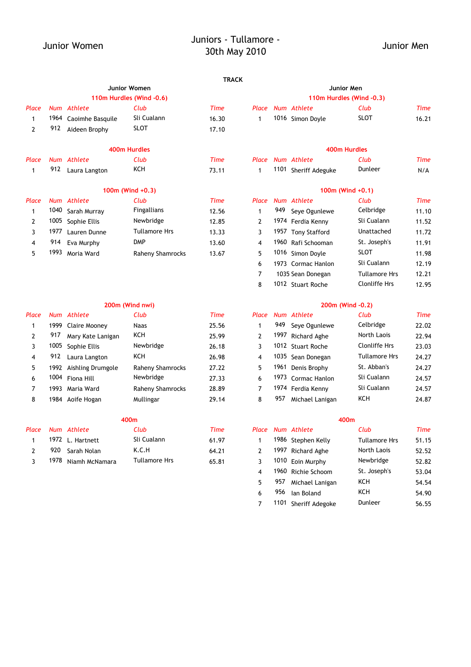# Junior Women Juniors - Tullamore - 30th May 2010 Junior Men

### **TRACK**

|       |      |                       | Junior Women             |             | Junior Men   |     |                      |                          |       |  |
|-------|------|-----------------------|--------------------------|-------------|--------------|-----|----------------------|--------------------------|-------|--|
|       |      |                       | 110m Hurdles (Wind -0.6) |             |              |     |                      | 110m Hurdles (Wind -0.3) |       |  |
| Place |      | Num Athlete           | Club                     | Time        | Place        |     | Num Athlete          | Club                     | Time  |  |
| 1     |      | 1964 Caoimhe Basquile | Sli Cualann              | 16.30       | 1            |     | 1016 Simon Doyle     | <b>SLOT</b>              | 16.21 |  |
| 2     | 912  | Aideen Brophy         | SLOT                     | 17.10       |              |     |                      |                          |       |  |
|       |      |                       | 400m Hurdles             |             |              |     |                      | 400m Hurdles             |       |  |
| Place |      | Num Athlete           | Club                     | <b>Time</b> | Place        |     | Num Athlete          | Club                     | Time  |  |
| 1     | 912  | Laura Langton         | KCH                      | 73.11       | 1.           |     | 1101 Sheriff Adeguke | Dunleer                  | N/A   |  |
|       |      |                       | $100m$ (Wind $+0.3$ )    |             |              |     |                      | 100 $m$ (Wind +0.1)      |       |  |
| Place |      | Num Athlete           | Club                     | <b>Time</b> | Place        |     | Num Athlete          | Club                     | Time  |  |
| 1     |      | 1040 Sarah Murray     | Fingallians              | 12.56       | 1            | 949 | Seye Ogunlewe        | Celbridge                | 11.10 |  |
| 2     | 1005 | Sophie Ellis          | Newbridge                | 12.85       | $\mathbf{2}$ |     | 1974 Ferdia Kenny    | Sli Cualann              | 11.52 |  |
| 3     | 1977 | Lauren Dunne          | <b>Tullamore Hrs</b>     | 13.33       | 3            |     | 1957 Tony Stafford   | Unattached               | 11.72 |  |
| 4     | 914  | Eva Murphy            | <b>DMP</b>               | 13.60       | 4            |     | 1960 Rafi Schooman   | St. Joseph's             | 11.91 |  |
| 5     | 1993 | Moria Ward            | Raheny Shamrocks         | 13.67       | 5            |     | 1016 Simon Doyle     | <b>SLOT</b>              | 11.98 |  |

### **200m (Wind nwi)**

| Place |       | Num Athlete            | Club             | Time  | Place |      | Num Athlete         | Club                 | Time  |
|-------|-------|------------------------|------------------|-------|-------|------|---------------------|----------------------|-------|
|       | 1999  | Claire Mooney          | <b>Naas</b>      | 25.56 |       | 949  | Seve Ogunlewe       | Celbridge            | 22.02 |
|       | 917   | Mary Kate Lanigan      | KCH              | 25.99 |       | 1997 | <b>Richard Aghe</b> | North Laois          | 22.94 |
|       |       | 1005 Sophie Ellis      | Newbridge        | 26.18 |       |      | 1012 Stuart Roche   | Clonliffe Hrs        | 23.03 |
|       | 912   | Laura Langton          | KCH              | 26.98 | 4     |      | 1035 Sean Donegan   | <b>Tullamore Hrs</b> | 24.27 |
|       |       | 1992 Aishling Drumgole | Raheny Shamrocks | 27.22 |       |      | 1961 Denis Brophy   | St. Abban's          | 24.27 |
| 6     |       | 1004 Fiona Hill        | Newbridge        | 27.33 | 6     |      | 1973 Cormac Hanlon  | Sli Cualann          | 24.57 |
|       | 1993. | Maria Ward             | Raheny Shamrocks | 28.89 |       |      | 1974 Ferdia Kenny   | Sli Cualann          | 24.57 |
| 8     |       | 1984 Aoife Hogan       | Mullingar        | 29.14 | 8     | 957  | Michael Lanigan     | KCH                  | 24.87 |

| Place |     | Num Athlete         | Club                 | Time  | Place | Num Athlete        | Club                 | Time  |
|-------|-----|---------------------|----------------------|-------|-------|--------------------|----------------------|-------|
|       |     | 1972 L. Hartnett    | Sli Cualann          | 61.97 |       | 1986 Stephen Kelly | <b>Tullamore Hrs</b> | 51.15 |
|       | 920 | Sarah Nolan         | K.C.H                | 64.21 |       | 1997 Richard Aghe  | North Laois          | 52.52 |
|       |     | 1978 Niamh McNamara | <b>Tullamore Hrs</b> | 65.81 |       | 1010 Foin Murphy   | Newbridge            | 52.82 |

|                 |                          | <b>I KALK</b> |                          |  |                   |             |       |  |  |  |  |
|-----------------|--------------------------|---------------|--------------------------|--|-------------------|-------------|-------|--|--|--|--|
|                 | Junior Women             |               |                          |  |                   | Junior Men  |       |  |  |  |  |
|                 | 110m Hurdles (Wind -0.6) |               | 110m Hurdles (Wind -0.3) |  |                   |             |       |  |  |  |  |
|                 | Club                     | Time          |                          |  | Place Num Athlete | Club        | Time  |  |  |  |  |
| <b>Basquile</b> | Sli Cualann              | 16.30         |                          |  | 1016 Simon Doyle  | <b>SLOT</b> | 16.21 |  |  |  |  |
| <b>Srophy</b>   | <b>SLOT</b>              | 17.10         |                          |  |                   |             |       |  |  |  |  |

### **400m Hurdles 400m Hurdles**

|  | Place Num Athlete    | Club    | Time |
|--|----------------------|---------|------|
|  | 1101 Sheriff Adeguke | Dunleer | N/A  |

### **100m (Wind +0.3) 100m (Wind +0.1)**

| Club             | Time  |               |     | Place Num Athlete  | Club                 | Time  |
|------------------|-------|---------------|-----|--------------------|----------------------|-------|
| Fingallians      | 12.56 | 1             | 949 | Seye Ogunlewe      | Celbridge            | 11.10 |
| Newbridge        | 12.85 | $\mathcal{P}$ |     | 1974 Ferdia Kenny  | Sli Cualann          | 11.52 |
| Tullamore Hrs    | 13.33 | 3             |     | 1957 Tony Stafford | Unattached           | 11.72 |
| <b>DMP</b>       | 13.60 | 4             |     | 1960 Rafi Schooman | St. Joseph's         | 11.91 |
| Raheny Shamrocks | 13.67 | 5             |     | 1016 Simon Dovle   | <b>SLOT</b>          | 11.98 |
|                  |       | 6             |     | 1973 Cormac Hanlon | Sli Cualann          | 12.19 |
|                  |       | 7             |     | 1035 Sean Donegan  | <b>Tullamore Hrs</b> | 12.21 |
|                  |       | 8             |     | 1012 Stuart Roche  | <b>Clonliffe Hrs</b> | 12.95 |

### **200m (Wind -0.2)**

| Club             | Time  | Place |     | Num Athlete        | Club                 | Time  |
|------------------|-------|-------|-----|--------------------|----------------------|-------|
| <b>Naas</b>      | 25.56 |       | 949 | Seve Ogunlewe      | Celbridge            | 22.02 |
| KCH              | 25.99 | 2     |     | 1997 Richard Aghe  | North Laois          | 22.94 |
| Newbridge        | 26.18 | 3     |     | 1012 Stuart Roche  | <b>Clonliffe Hrs</b> | 23.03 |
| ксн              | 26.98 | 4     |     | 1035 Sean Donegan  | <b>Tullamore Hrs</b> | 24.27 |
| Raheny Shamrocks | 27.22 | 5     |     | 1961 Denis Brophy  | St. Abban's          | 24.27 |
| Newbridge        | 27.33 | 6     |     | 1973 Cormac Hanlon | Sli Cualann          | 24.57 |
| Raheny Shamrocks | 28.89 | 7     |     | 1974 Ferdia Kenny  | Sli Cualann          | 24.57 |
| Mullingar        | 29.14 | 8     | 957 | Michael Lanigan    | KCH                  | 24.87 |

|     | 400m |                  |               |             |                | 400m       |                    |                      |             |  |  |
|-----|------|------------------|---------------|-------------|----------------|------------|--------------------|----------------------|-------------|--|--|
| асе |      | Num Athlete      | Club          | <b>Time</b> | Place          |            | Num Athlete        | Club                 | <b>Time</b> |  |  |
|     |      | 1972 L. Hartnett | Sli Cualann   | 61.97       |                |            | 1986 Stephen Kelly | <b>Tullamore Hrs</b> | 51.15       |  |  |
| 2   | 920  | Sarah Nolan      | K.C.H         | 64.21       |                | 1997       | Richard Aghe       | North Laois          | 52.52       |  |  |
|     | 1978 | Niamh McNamara   | Tullamore Hrs | 65.81       |                |            | 1010 Eoin Murphy   | Newbridge            | 52.82       |  |  |
|     |      |                  |               |             | $\overline{4}$ |            | 1960 Richie Schoom | St. Joseph's         | 53.04       |  |  |
|     |      |                  |               |             | 5.             | 957        | Michael Lanigan    | KCH                  | 54.54       |  |  |
|     |      |                  |               | 6           | 956            | lan Boland | KCH                | 54.90                |             |  |  |
|     |      |                  |               |             |                | 1101       | Sheriff Adegoke    | Dunleer              | 56.55       |  |  |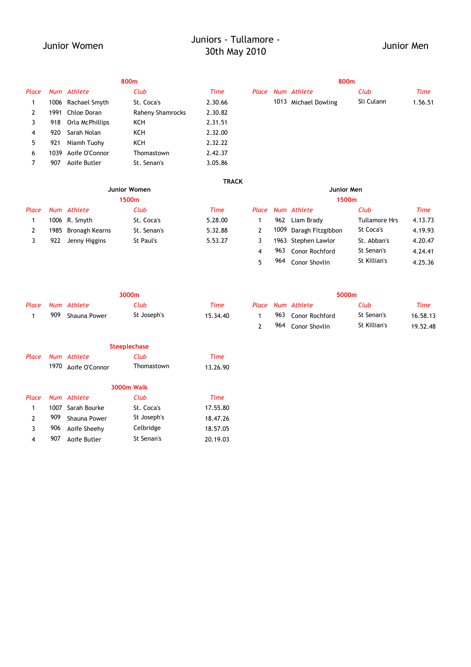# Junior Women Juniors - Tullamore and Separation Contract Solution Solution Solution Mendels<br>30th May 2010

|       | 800m |                    |                         |         |       |  | 800m                 |            |        |  |  |  |  |
|-------|------|--------------------|-------------------------|---------|-------|--|----------------------|------------|--------|--|--|--|--|
| Place |      | Num Athlete        | Club                    | Time    | Place |  | Num Athlete          | Club       | Time   |  |  |  |  |
|       |      | 1006 Rachael Smyth | St. Coca's              | 2.30.66 |       |  | 1013 Michael Dowling | Sli Culann | 1.56.5 |  |  |  |  |
| 2     | 1991 | Chloe Doran        | <b>Raheny Shamrocks</b> | 2.30.82 |       |  |                      |            |        |  |  |  |  |
| 3     | 918  | Orla McPhillips    | KCH                     | 2.31.51 |       |  |                      |            |        |  |  |  |  |
| 4     | 920  | Sarah Nolan        | KCH                     | 2.32.00 |       |  |                      |            |        |  |  |  |  |
| 5.    | 921  | Niamh Tuohy        | KCH                     | 2.32.22 |       |  |                      |            |        |  |  |  |  |
| 6     | 1039 | Aoife O'Connor     | Thomastown              | 2.42.37 |       |  |                      |            |        |  |  |  |  |
|       | 907  | Aoife Butler       | St. Senan's             | 3.05.86 |       |  |                      |            |        |  |  |  |  |
|       |      |                    |                         |         |       |  |                      |            |        |  |  |  |  |

| uce |      | INUIII ALIILELE    | <b>CUU</b>          | 11110        |  | Fluce Nulli Alliele  |            | cup        | ,,,,,,  |
|-----|------|--------------------|---------------------|--------------|--|----------------------|------------|------------|---------|
| 1   |      | 1006 Rachael Smyth | St. Coca's          | 2.30.66      |  | 1013 Michael Dowling |            | Sli Culann | 1.56.51 |
| 2   |      | 1991 Chloe Doran   | Raheny Shamrocks    | 2.30.82      |  |                      |            |            |         |
| 3   | 918  | Orla McPhillips    | KCH                 | 2.31.51      |  |                      |            |            |         |
| 4   | 920  | Sarah Nolan        | KCH                 | 2.32.00      |  |                      |            |            |         |
| 5   | 921  | Niamh Tuohy        | KCH                 | 2.32.22      |  |                      |            |            |         |
| 6   | 1039 | Aoife O'Connor     | Thomastown          | 2.42.37      |  |                      |            |            |         |
| 7   | 907  | Aoife Butler       | St. Senan's         | 3.05.86      |  |                      |            |            |         |
|     |      |                    |                     | <b>TRACK</b> |  |                      |            |            |         |
|     |      |                    | <b>Junior Women</b> |              |  |                      | Junior Men |            |         |
|     |      |                    | 1500m               |              |  |                      | 1500m      |            |         |
|     |      | ace Num Athlete    | Cl <sub>11</sub> h  | Time         |  | Place Num Athlete    |            | Club       | Time    |

964 Conor Shovlin St Killian's 4.25.36

|       | 1500m |                     |             |         |  | 1500m |                        |                      |         |  |  |
|-------|-------|---------------------|-------------|---------|--|-------|------------------------|----------------------|---------|--|--|
| Place |       | Num Athlete         | Club        | Time    |  |       | Place Num Athlete      | Club                 | Time    |  |  |
|       |       | 1006 R. Smyth       | St. Coca's  | 5.28.00 |  | 962   | Liam Brady             | <b>Tullamore Hrs</b> | 4.13.73 |  |  |
|       |       | 1985 Bronagh Kearns | St. Senan's | 5.32.88 |  |       | 1009 Daragh Fitzgibbon | St Coca's            | 4.19.93 |  |  |
|       | 922   | Jenny Higgins       | St Paul's   | 5.53.27 |  |       | 1963 Stephen Lawlor    | St. Abban's          | 4.20.47 |  |  |
|       |       |                     |             |         |  |       | 963 Conor Rochford     | St Senan's           | 4.24.41 |  |  |

| 3000m |                   |             |          |  | 5000m |                   |              |          |  |  |
|-------|-------------------|-------------|----------|--|-------|-------------------|--------------|----------|--|--|
|       | Place Num Athlete | Club        | Time     |  |       | Place Num Athlete | Club         | Time     |  |  |
| 909   | Shauna Power      | St Joseph's | 15.34.40 |  | 963   | Conor Rochford    | St Senan's   | 16.58.13 |  |  |
|       |                   |             |          |  | 964   | Conor Shovlin     | St Killian's | 19.52.48 |  |  |

5

|  |                     | <b>Steeplechase</b> |          |
|--|---------------------|---------------------|----------|
|  | Place Num Athlete   | Club                | Time     |
|  | 1970 Aoife O'Connor | Thomastown          | 13.26.90 |
|  |                     | <b>3000m Walk</b>   |          |

| Place         |     | Num Athlete       | Club        | Time     |
|---------------|-----|-------------------|-------------|----------|
| $\mathbf{1}$  |     | 1007 Sarah Bourke | St. Coca's  | 17.55.80 |
| $\mathcal{P}$ | 909 | Shauna Power      | St Joseph's | 18.47.26 |
| 3             | 906 | Aoife Sheehy      | Celbridge   | 18.57.05 |
| 4             | 907 | Aoife Butler      | St Senan's  | 20.19.03 |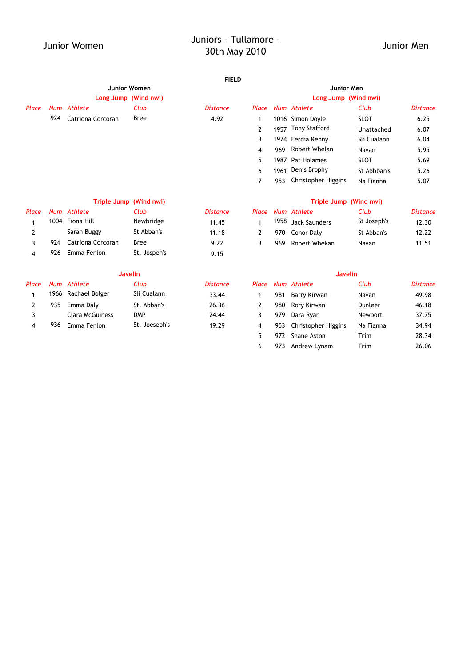# Junior Women Juniors - Tullamore - 30th May 2010 Junior Men

### **FIELD**

|       |     |                     | Junior Women           |                 |                |      | Junior Men             |             |                 |
|-------|-----|---------------------|------------------------|-----------------|----------------|------|------------------------|-------------|-----------------|
|       |     |                     | Long Jump (Wind nwi)   |                 |                |      | Long Jump (Wind nwi)   |             |                 |
| Place |     | Num Athlete         | Club                   | <b>Distance</b> | Place          |      | Num Athlete            | Club        | <b>Distance</b> |
|       | 924 | Catriona Corcoran   | <b>Bree</b>            | 4.92            | 1              |      | 1016 Simon Doyle       | <b>SLOT</b> | 6.25            |
|       |     |                     |                        |                 | 2              |      | 1957 Tony Stafford     | Unattached  | 6.07            |
|       |     |                     |                        |                 | 3              |      | 1974 Ferdia Kenny      | Sli Cualann | 6.04            |
|       |     |                     |                        |                 | 4              | 969  | Robert Whelan          | Navan       | 5.95            |
|       |     |                     |                        |                 | 5              | 1987 | <b>Pat Holames</b>     | <b>SLOT</b> | 5.69            |
|       |     |                     |                        |                 | 6              | 1961 | Denis Brophy           | St Abbban's | 5.26            |
|       |     |                     |                        |                 | $\overline{7}$ | 953  | Christopher Higgins    | Na Fianna   | 5.07            |
|       |     |                     | Triple Jump (Wind nwi) |                 |                |      | Triple Jump (Wind nwi) |             |                 |
| Place |     | Num Athlete         | Club                   | <b>Distance</b> | Place          |      | Num Athlete            | Club        | <b>Distance</b> |
| 1     |     | 1004 Fiona Hill     | Newbridge              | 11.45           | 1              | 1958 | <b>Jack Saunders</b>   | St Joseph's | 12.30           |
| 2     |     | Sarah Buggy         | St Abban's             | 11.18           | 2              | 970  | Conor Daly             | St Abban's  | 12.22           |
| 3     | 924 | Catriona Corcoran   | <b>Bree</b>            | 9.22            | 3              | 969  | Robert Whekan          | Navan       | 11.51           |
| 4     | 926 | Emma Fenlon         | St. Jospeh's           | 9.15            |                |      |                        |             |                 |
|       |     |                     | <b>Javelin</b>         |                 |                |      | <b>Javelin</b>         |             |                 |
| Place |     | Num Athlete         | Club                   | <b>Distance</b> | Place          |      | Num Athlete            | Club        | <b>Distance</b> |
| 1     |     | 1966 Rachael Bolger | Sli Cualann            | 33.44           | 1              | 981  | Barry Kirwan           | Navan       | 49.98           |

2 935 Emma Daly St. Abban's 26.36 2 980 Rory Kirwan Dunleer 46.18 3 DMP 24.44 3 979 Newport 37.75 Clara McGuiness Dara Ryan 4 936 19.29 4 953 Christopher Higgins 34.94 Emma Fenlon St. Joeseph's Na Fianna

> 5 972 Shane Aston Trim 28.34 6 973 Andrew Lynam Trim 26.06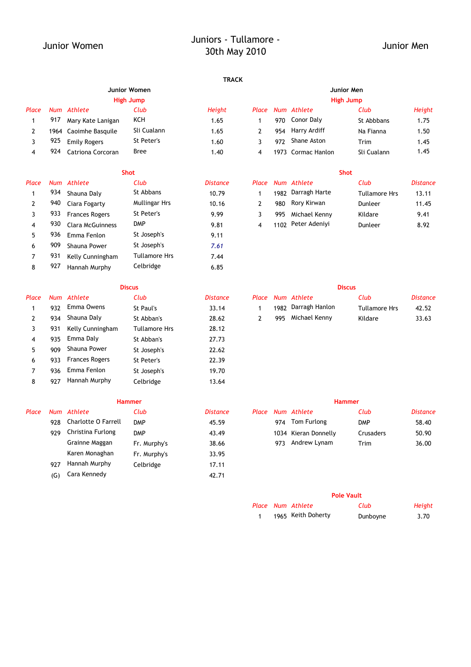# Junior Women Juniors - Tullamore - 30th May 2010 Junior Men

### **TRACK**

|       |     |                       | JUIN MUNICIP |        | JUIIVI MUIL |     |                    |             |        |  |
|-------|-----|-----------------------|--------------|--------|-------------|-----|--------------------|-------------|--------|--|
|       |     |                       | High Jump    |        |             |     |                    | High Jump   |        |  |
| Place | Num | Athlete               | Club         | Height | Place       |     | Num Athlete        | Club        | Height |  |
|       | 917 | Mary Kate Lanigan     | KCH          | 1.65   |             | 970 | Conor Daly         | St Abbbans  | 1.75   |  |
|       |     | 1964 Caoimhe Basquile | Sli Cualann  | 1.65   |             | 954 | Harry Ardiff       | Na Fianna   | 1.50   |  |
|       | 925 | Emily Rogers          | St Peter's   | 1.60   |             | 972 | Shane Aston        | Trim        | 1.45   |  |
|       | 924 | Catriona Corcoran     | <b>Bree</b>  | 1.40   |             |     | 1973 Cormac Hanlon | Sli Cualann | 1.45   |  |

| Place | Num | Athlete               | Club                 | <b>Distance</b> | Place |      | Num Athlete        | Club                 | Distance |
|-------|-----|-----------------------|----------------------|-----------------|-------|------|--------------------|----------------------|----------|
|       | 934 | Shauna Daly           | St Abbans            | 10.79           |       | 1982 | Darragh Harte      | <b>Tullamore Hrs</b> | 13.11    |
|       | 940 | Ciara Fogarty         | <b>Mullingar Hrs</b> | 10.16           |       | 980  | Rory Kirwan        | Dunleer              | 11.45    |
|       | 933 | <b>Frances Rogers</b> | St Peter's           | 9.99            |       | 995  | Michael Kenny      | Kildare              | 9.41     |
| 4     | 930 | Clara McGuinness      | <b>DMP</b>           | 9.81            | 4     |      | 1102 Peter Adenivi | Dunleer              | 8.92     |
| 5     | 936 | Emma Fenlon           | St Joseph's          | 9.11            |       |      |                    |                      |          |
| 6     | 909 | Shauna Power          | St Joseph's          | 7.61            |       |      |                    |                      |          |
|       | 931 | Kelly Cunningham      | Tullamore Hrs        | 7.44            |       |      |                    |                      |          |
| 8     | 927 | Hannah Murphy         | Celbridge            | 6.85            |       |      |                    |                      |          |

| Place |     | Num Athlete           | Club                 | <b>Distance</b> | Place |      | Num Athlete    | Club                 | <b>Distance</b> |
|-------|-----|-----------------------|----------------------|-----------------|-------|------|----------------|----------------------|-----------------|
|       | 932 | Emma Owens            | St Paul's            | 33.14           |       | 1982 | Darragh Hanlon | <b>Tullamore Hrs</b> | 42.52           |
|       | 934 | Shauna Daly           | St Abban's           | 28.62           |       | 995  | Michael Kenny  | Kildare              | 33.63           |
|       | 931 | Kelly Cunningham      | <b>Tullamore Hrs</b> | 28.12           |       |      |                |                      |                 |
| 4     | 935 | Emma Daly             | St Abban's           | 27.73           |       |      |                |                      |                 |
| 5.    | 909 | Shauna Power          | St Joseph's          | 22.62           |       |      |                |                      |                 |
| 6     | 933 | <b>Frances Rogers</b> | St Peter's           | 22.39           |       |      |                |                      |                 |
|       | 936 | Emma Fenlon           | St Joseph's          | 19.70           |       |      |                |                      |                 |
| 8     | 927 | Hannah Murphy         | Celbridge            | 13.64           |       |      |                |                      |                 |

| Place |     | Num Athlete         | Club         | <b>Distance</b> | Place |     | Num Athlete          | Club             | Distance |
|-------|-----|---------------------|--------------|-----------------|-------|-----|----------------------|------------------|----------|
|       | 928 | Charlotte O Farrell | <b>DMP</b>   | 45.59           |       | 974 | Tom Furlong          | <b>DMP</b>       | 58.40    |
|       | 979 | Christina Furlong   | <b>DMP</b>   | 43.49           |       |     | 1034 Kieran Donnelly | <b>Crusaders</b> | 50.90    |
|       |     | Grainne Maggan      | Fr. Murphy's | 38.66           |       | 973 | Andrew Lynam         | Trim             | 36.00    |
|       |     | Karen Monaghan      | Fr. Murphy's | 33.95           |       |     |                      |                  |          |
|       | 927 | Hannah Murphy       | Celbridge    | 17.11           |       |     |                      |                  |          |
|       | (G) | Cara Kennedy        |              | 42.71           |       |     |                      |                  |          |

# **Junior Women Junior Men High Jump High Jump** 3 972 Shane Aston Trim 1.45

# **Shot Shot**

| Club          | <i>Distance</i> |     | Place Num Athlete  | Club                 | <b>Distance</b> |
|---------------|-----------------|-----|--------------------|----------------------|-----------------|
| St Abbans     | 10.79           |     | 1982 Darragh Harte | <b>Tullamore Hrs</b> | 13.11           |
| Mullingar Hrs | 10.16           | 980 | Rory Kirwan        | Dunleer              | 11.45           |
| St Peter's    | 9.99            |     | 995 Michael Kenny  | Kildare              | 9.41            |
| <b>DMP</b>    | 9.81            |     | 1102 Peter Adeniyi | Dunleer              | 8.92            |
|               |                 |     |                    |                      |                 |

# **Discus Discus** 2 934 Shauna Daly 28.62 2 995 Michael Kenny Kildare 33.63

# **Hammer Hammer**

|     | Num Athlete             | Club         | <i>Distance</i> |  | Place Num Athlete    | Club       | <b>Distance</b> |
|-----|-------------------------|--------------|-----------------|--|----------------------|------------|-----------------|
|     | 928 Charlotte O Farrell | <b>DMP</b>   | 45.59           |  | 974 Tom Furlong      | <b>DMP</b> | 58.40           |
| 929 | Christina Furlong       | <b>DMP</b>   | 43.49           |  | 1034 Kieran Donnelly | Crusaders  | 50.90           |
|     | Grainne Maggan          | Fr. Murphy's | 38.66           |  | 973 Andrew Lynam     | Trim       | 36.00           |

### **Pole Vault**

|  | Place Num Athlete  | Club     | Height |
|--|--------------------|----------|--------|
|  | 1965 Keith Doherty | Dunboyne | 3.70   |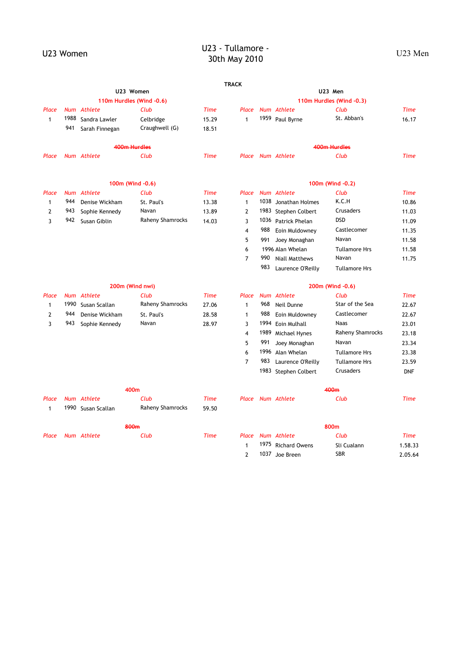# U23 Women U23 - Tullamore - U23 Vomen U23 - Tullamore - U23 - Tullamore -23 - Tuttambre -<br>30th May 2010

|                |      |                    |                          |             | <b>TRACK</b>            |      |                       |                          |             |
|----------------|------|--------------------|--------------------------|-------------|-------------------------|------|-----------------------|--------------------------|-------------|
|                |      |                    | U23 Women                |             |                         |      |                       | U23 Men                  |             |
|                |      |                    | 110m Hurdles (Wind -0.6) |             |                         |      |                       | 110m Hurdles (Wind -0.3) |             |
| Place          |      | Num Athlete        | Club                     | <b>Time</b> | Place                   |      | Num Athlete           | Club                     | <b>Time</b> |
| $\mathbf{1}$   | 1988 | Sandra Lawler      | Celbridge                | 15.29       | $\mathbf{1}$            |      | 1959 Paul Byrne       | St. Abban's              | 16.17       |
|                | 941  | Sarah Finnegan     | Craughwell (G)           | 18.51       |                         |      |                       |                          |             |
|                |      |                    | 400m Hurdles             |             |                         |      |                       | 400m Hurdles             |             |
| Place          |      | Num Athlete        | Club                     | <b>Time</b> |                         |      | Place Num Athlete     | Club                     | <b>Time</b> |
|                |      |                    | 100m (Wind -0.6)         |             |                         |      |                       | 100m (Wind -0.2)         |             |
| Place          |      | Num Athlete        | Club                     | <b>Time</b> | Place                   |      | Num Athlete           | Club                     | <b>Time</b> |
| $\mathbf{1}$   | 944  | Denise Wickham     | St. Paul's               | 13.38       | $\mathbf{1}$            | 1038 | Jonathan Holmes       | K.C.H                    | 10.86       |
| $\overline{2}$ | 943  | Sophie Kennedy     | Navan                    | 13.89       | $\overline{2}$          |      | 1983 Stephen Colbert  | Crusaders                | 11.03       |
| $\overline{3}$ | 942  | Susan Giblin       | Raheny Shamrocks         | 14.03       | 3                       |      | 1036 Patrick Phelan   | <b>DSD</b>               | 11.09       |
|                |      |                    |                          |             | $\overline{\mathbf{4}}$ | 988  | Eoin Muldowney        | Castlecomer              | 11.35       |
|                |      |                    |                          |             | 5                       | 991  | Joey Monaghan         | Navan                    | 11.58       |
|                |      |                    |                          |             | 6                       |      | 1996 Alan Whelan      | <b>Tullamore Hrs</b>     | 11.58       |
|                |      |                    |                          |             | $\overline{7}$          | 990  | <b>Niall Matthews</b> | Navan                    | 11.75       |
|                |      |                    |                          |             |                         | 983  | Laurence O'Reilly     | <b>Tullamore Hrs</b>     |             |
|                |      |                    | 200m (Wind nwi)          |             |                         |      |                       | 200m (Wind -0.6)         |             |
| Place          |      | Num Athlete        | Club                     | <b>Time</b> | Place                   |      | Num Athlete           | Club                     | <b>Time</b> |
| $\mathbf{1}$   | 1990 | Susan Scallan      | Raheny Shamrocks         | 27.06       | $\mathbf{1}$            | 968  | Neil Dunne            | Star of the Sea          | 22.67       |
| $\overline{2}$ | 944  | Denise Wickham     | St. Paul's               | 28.58       | $\mathbf{1}$            | 988  | Eoin Muldowney        | Castlecomer              | 22.67       |
| 3              | 943  | Sophie Kennedy     | Navan                    | 28.97       | 3                       | 1994 | Eoin Mulhall          | Naas                     | 23.01       |
|                |      |                    |                          |             | 4                       | 1989 | Michael Hynes         | Raheny Shamrocks         | 23.18       |
|                |      |                    |                          |             | 5                       | 991  | Joey Monaghan         | Navan                    | 23.34       |
|                |      |                    |                          |             | 6                       | 1996 | Alan Whelan           | <b>Tullamore Hrs</b>     | 23.38       |
|                |      |                    |                          |             | $\overline{7}$          | 983  | Laurence O'Reilly     | <b>Tullamore Hrs</b>     | 23.59       |
|                |      |                    |                          |             |                         |      | 1983 Stephen Colbert  | Crusaders                | <b>DNF</b>  |
|                |      |                    | 400 <sub>m</sub>         |             |                         |      |                       | 400 <sub>m</sub>         |             |
| Place          |      | Num Athlete        | Club                     | <b>Time</b> |                         |      | Place Num Athlete     | Club                     | <b>Time</b> |
| $\mathbf{1}$   |      | 1990 Susan Scallan | Raheny Shamrocks         | 59.50       |                         |      |                       |                          |             |
|                |      |                    | 800m                     |             |                         |      |                       | 800m                     |             |
| Place          |      | Num Athlete        | Club                     | <b>Time</b> |                         |      | Place Num Athlete     | Club                     | <b>Time</b> |
|                |      |                    |                          |             | $\mathbf{1}$            |      | 1975 Richard Owens    | Sli Cualann              | 1.58.33     |

2 1037 Joe Breen SBR 2.05.64